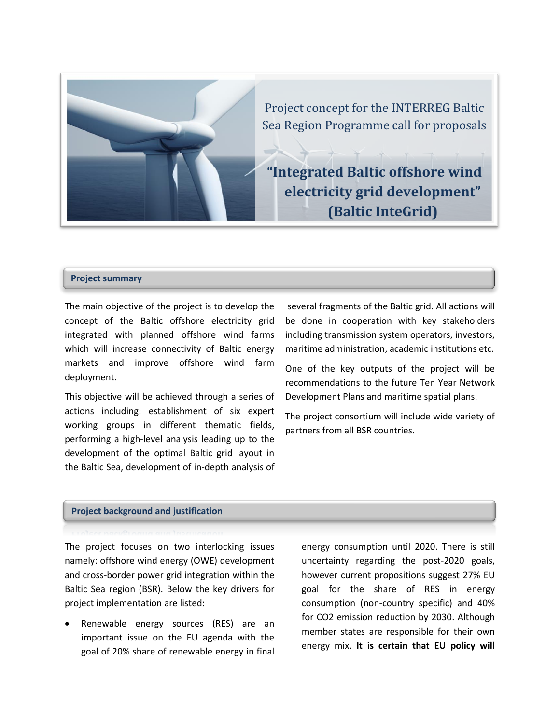

Project concept for the INTERREG Baltic Sea Region Programme call for proposals

**"Integrated Baltic offshore wind electricity grid development" (Baltic InteGrid)**

#### **Project summary**

The main objective of the project is to develop the concept of the Baltic offshore electricity grid integrated with planned offshore wind farms which will increase connectivity of Baltic energy markets and improve offshore wind farm deployment.

This objective will be achieved through a series of actions including: establishment of six expert working groups in different thematic fields, performing a high-level analysis leading up to the development of the optimal Baltic grid layout in the Baltic Sea, development of in-depth analysis of

several fragments of the Baltic grid. All actions will be done in cooperation with key stakeholders including transmission system operators, investors, maritime administration, academic institutions etc.

One of the key outputs of the project will be recommendations to the future Ten Year Network Development Plans and maritime spatial plans.

The project consortium will include wide variety of partners from all BSR countries.

## **Project background and justification**

The project focuses on two interlocking issues namely: offshore wind energy (OWE) development and cross-border power grid integration within the Baltic Sea region (BSR). Below the key drivers for project implementation are listed:

 Renewable energy sources (RES) are an important issue on the EU agenda with the goal of 20% share of renewable energy in final

energy consumption until 2020. There is still uncertainty regarding the post-2020 goals, however current propositions suggest 27% EU goal for the share of RES in energy consumption (non-country specific) and 40% for CO2 emission reduction by 2030. Although member states are responsible for their own energy mix. **It is certain that EU policy will**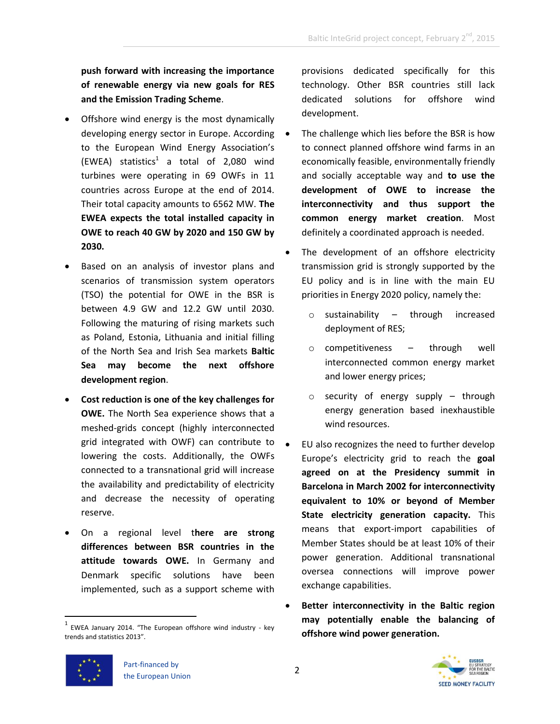**push forward with increasing the importance of renewable energy via new goals for RES and the Emission Trading Scheme**.

- Offshore wind energy is the most dynamically developing energy sector in Europe. According to the European Wind Energy Association's  $(EWEA)$  statistics<sup>1</sup> a total of 2,080 wind turbines were operating in 69 OWFs in 11 countries across Europe at the end of 2014. Their total capacity amounts to 6562 MW. **The EWEA expects the total installed capacity in OWE to reach 40 GW by 2020 and 150 GW by 2030.**
- Based on an analysis of investor plans and scenarios of transmission system operators (TSO) the potential for OWE in the BSR is between 4.9 GW and 12.2 GW until 2030. Following the maturing of rising markets such as Poland, Estonia, Lithuania and initial filling of the North Sea and Irish Sea markets **Baltic Sea may become the next offshore development region**.
- **Cost reduction is one of the key challenges for OWE.** The North Sea experience shows that a meshed-grids concept (highly interconnected grid integrated with OWF) can contribute to lowering the costs. Additionally, the OWFs connected to a transnational grid will increase the availability and predictability of electricity and decrease the necessity of operating reserve.
- On a regional level t**here are strong differences between BSR countries in the attitude towards OWE.** In Germany and Denmark specific solutions have been implemented, such as a support scheme with

provisions dedicated specifically for this technology. Other BSR countries still lack dedicated solutions for offshore wind development.

- The challenge which lies before the BSR is how to connect planned offshore wind farms in an economically feasible, environmentally friendly and socially acceptable way and **to use the development of OWE to increase the interconnectivity and thus support the common energy market creation**. Most definitely a coordinated approach is needed.
- The development of an offshore electricity transmission grid is strongly supported by the EU policy and is in line with the main EU priorities in Energy 2020 policy, namely the:
	- $\circ$  sustainability through increased deployment of RES;
	- o competitiveness through well interconnected common energy market and lower energy prices;
	- o security of energy supply through energy generation based inexhaustible wind resources.
- EU also recognizes the need to further develop Europe's electricity grid to reach the **goal agreed on at the Presidency summit in Barcelona in March 2002 for interconnectivity equivalent to 10% or beyond of Member State electricity generation capacity.** This means that export-import capabilities of Member States should be at least 10% of their power generation. Additional transnational oversea connections will improve power exchange capabilities.
- **Better interconnectivity in the Baltic region may potentially enable the balancing of offshore wind power generation.**



 $\overline{a}$ 



<sup>1</sup> EWEA January 2014. "The European offshore wind industry - key trends and statistics 2013".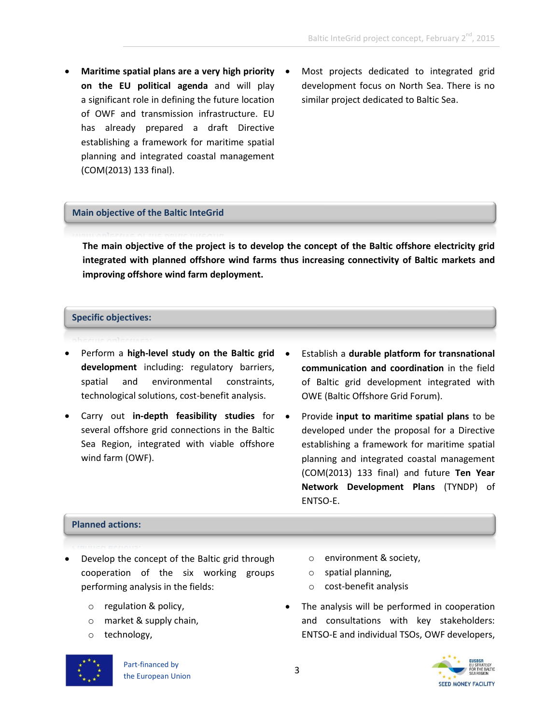- **Maritime spatial plans are a very high priority on the EU political agenda** and will play a significant role in defining the future location of OWF and transmission infrastructure. EU has already prepared a draft Directive establishing a framework for maritime spatial planning and integrated coastal management (COM(2013) 133 final).
	- Most projects dedicated to integrated grid development focus on North Sea. There is no similar project dedicated to Baltic Sea.

## **Main objective of the Baltic InteGrid**

**The main objective of the project is to develop the concept of the Baltic offshore electricity grid integrated with planned offshore wind farms thus increasing connectivity of Baltic markets and improving offshore wind farm deployment.**

## **Specific objectives:**

- Perform a **high-level study on the Baltic grid development** including: regulatory barriers, spatial and environmental constraints, technological solutions, cost-benefit analysis.
- Carry out **in-depth feasibility studies** for several offshore grid connections in the Baltic Sea Region, integrated with viable offshore wind farm (OWF).
- Establish a **durable platform for transnational communication and coordination** in the field of Baltic grid development integrated with OWE (Baltic Offshore Grid Forum).
- Provide **input to maritime spatial plans** to be developed under the proposal for a Directive establishing a framework for maritime spatial planning and integrated coastal management (COM(2013) 133 final) and future **Ten Year Network Development Plans** (TYNDP) of ENTSO-E.

## **Planned actions:**

- Develop the concept of the Baltic grid through cooperation of the six working groups performing analysis in the fields:
	- o regulation & policy,
	- o market & supply chain,
	- o technology,
- o environment & society,
- o spatial planning,
- o cost-benefit analysis
- The analysis will be performed in cooperation and consultations with key stakeholders: ENTSO-E and individual TSOs, OWF developers,

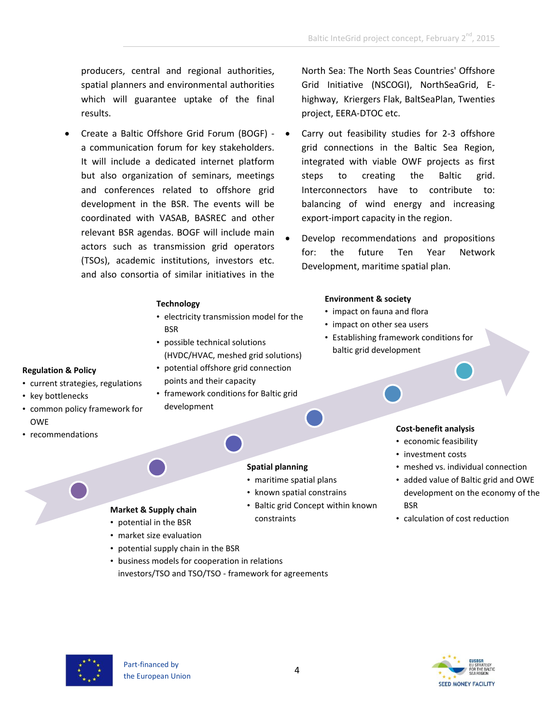producers, central and regional authorities, spatial planners and environmental authorities which will guarantee uptake of the final results.

 Create a Baltic Offshore Grid Forum (BOGF) a communication forum for key stakeholders. It will include a dedicated internet platform but also organization of seminars, meetings and conferences related to offshore grid development in the BSR. The events will be coordinated with VASAB, BASREC and other relevant BSR agendas. BOGF will include main actors such as transmission grid operators (TSOs), academic institutions, investors etc. and also consortia of similar initiatives in the

## **Technology**

- electricity transmission model for the **BSR**
- possible technical solutions (HVDC/HVAC, meshed grid solutions)
- potential offshore grid connection points and their capacity
- framework conditions for Baltic grid development

## **Regulation & Policy** • current strategies, regulations

- key bottlenecks
- common policy framework for OWE
- recommendations

## **Spatial planning**

- maritime spatial plans
- known spatial constrains
- Baltic grid Concept within known constraints
- North Sea: The North Seas Countries' Offshore Grid Initiative (NSCOGI), NorthSeaGrid, Ehighway, Kriergers Flak, BaltSeaPlan, Twenties project, EERA-DTOC etc.
- Carry out feasibility studies for 2-3 offshore grid connections in the Baltic Sea Region, integrated with viable OWF projects as first steps to creating the Baltic grid. Interconnectors have to contribute to: balancing of wind energy and increasing export-import capacity in the region.
- Develop recommendations and propositions for: the future Ten Year Network Development, maritime spatial plan.

## **Environment & society**

- impact on fauna and flora
- impact on other sea users
- Establishing framework conditions for baltic grid development

# **Cost-benefit analysis**

- economic feasibility
- investment costs
- meshed vs. individual connection
- added value of Baltic grid and OWE development on the economy of the BSR
- calculation of cost reduction



**Market & Supply chain** • potential in the BSR • market size evaluation

• potential supply chain in the BSR

• business models for cooperation in relations

investors/TSO and TSO/TSO - framework for agreements